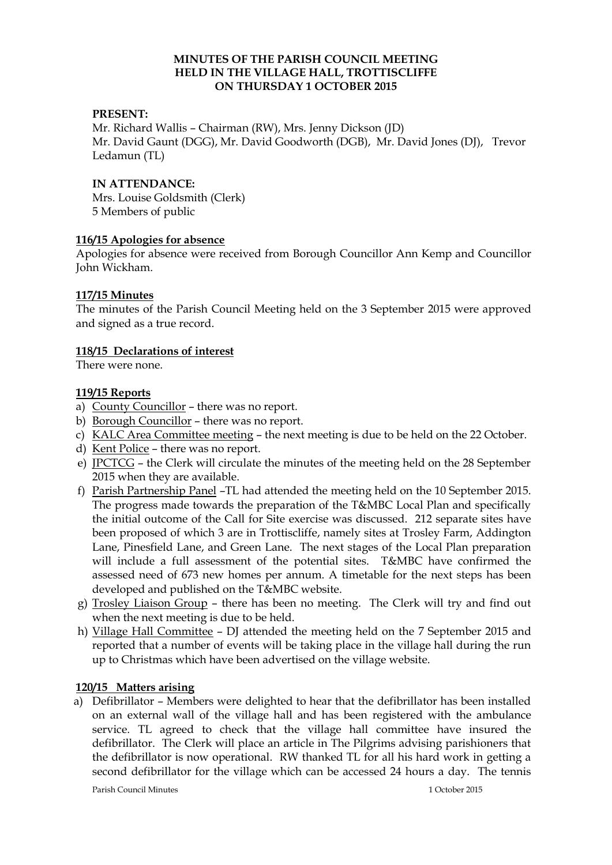### **MINUTES OF THE PARISH COUNCIL MEETING HELD IN THE VILLAGE HALL, TROTTISCLIFFE ON THURSDAY 1 OCTOBER 2015**

### **PRESENT:**

Mr. Richard Wallis – Chairman (RW), Mrs. Jenny Dickson (JD) Mr. David Gaunt (DGG), Mr. David Goodworth (DGB), Mr. David Jones (DJ), Trevor Ledamun (TL)

### **IN ATTENDANCE:**

Mrs. Louise Goldsmith (Clerk) 5 Members of public

### **116/15 Apologies for absence**

Apologies for absence were received from Borough Councillor Ann Kemp and Councillor John Wickham.

### **117/15 Minutes**

The minutes of the Parish Council Meeting held on the 3 September 2015 were approved and signed as a true record.

### **118/15 Declarations of interest**

There were none.

### **119/15 Reports**

- a) County Councillor there was no report.
- b) Borough Councillor there was no report.
- c) KALC Area Committee meeting the next meeting is due to be held on the 22 October.
- d) Kent Police there was no report.
- e) JPCTCG the Clerk will circulate the minutes of the meeting held on the 28 September 2015 when they are available.
- f) Parish Partnership Panel –TL had attended the meeting held on the 10 September 2015. The progress made towards the preparation of the T&MBC Local Plan and specifically the initial outcome of the Call for Site exercise was discussed. 212 separate sites have been proposed of which 3 are in Trottiscliffe, namely sites at Trosley Farm, Addington Lane, Pinesfield Lane, and Green Lane. The next stages of the Local Plan preparation will include a full assessment of the potential sites. T&MBC have confirmed the assessed need of 673 new homes per annum. A timetable for the next steps has been developed and published on the T&MBC website.
- g) Trosley Liaison Group there has been no meeting. The Clerk will try and find out when the next meeting is due to be held.
- h) Village Hall Committee DJ attended the meeting held on the 7 September 2015 and reported that a number of events will be taking place in the village hall during the run up to Christmas which have been advertised on the village website.

#### **120/15 Matters arising**

a) Defibrillator – Members were delighted to hear that the defibrillator has been installed on an external wall of the village hall and has been registered with the ambulance service. TL agreed to check that the village hall committee have insured the defibrillator. The Clerk will place an article in The Pilgrims advising parishioners that the defibrillator is now operational. RW thanked TL for all his hard work in getting a second defibrillator for the village which can be accessed 24 hours a day. The tennis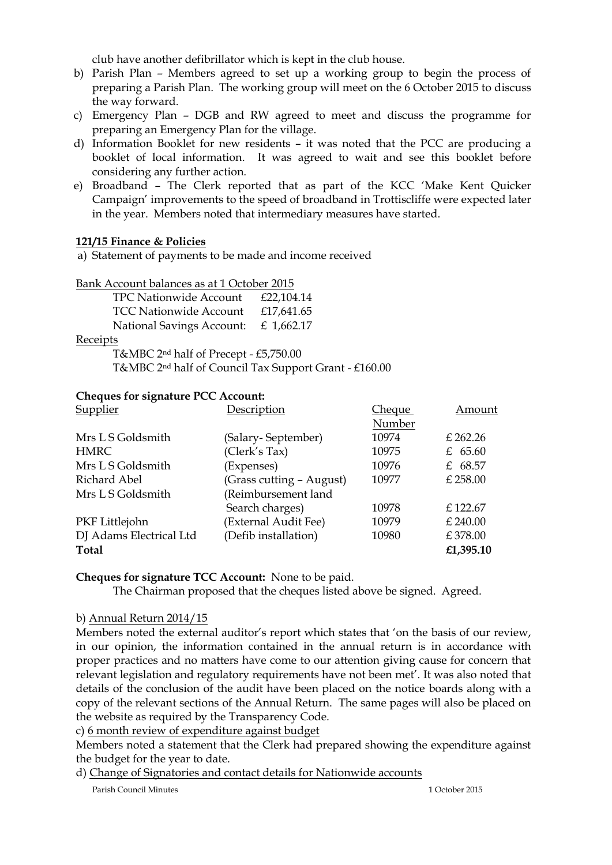club have another defibrillator which is kept in the club house.

- b) Parish Plan Members agreed to set up a working group to begin the process of preparing a Parish Plan. The working group will meet on the 6 October 2015 to discuss the way forward.
- c) Emergency Plan DGB and RW agreed to meet and discuss the programme for preparing an Emergency Plan for the village.
- d) Information Booklet for new residents it was noted that the PCC are producing a booklet of local information. It was agreed to wait and see this booklet before considering any further action.
- e) Broadband The Clerk reported that as part of the KCC 'Make Kent Quicker Campaign' improvements to the speed of broadband in Trottiscliffe were expected later in the year. Members noted that intermediary measures have started.

## **121/15 Finance & Policies**

a) Statement of payments to be made and income received

Bank Account balances as at 1 October 2015

 TPC Nationwide Account £22,104.14 TCC Nationwide Account £17,641.65 National Savings Account: £ 1,662.17

Receipts

 T&MBC 2nd half of Precept - £5,750.00 T&MBC 2nd half of Council Tax Support Grant - £160.00

### **Cheques for signature PCC Account:**

| Supplier                | Description              | Che <u>que</u> | Amount     |
|-------------------------|--------------------------|----------------|------------|
|                         |                          | Number         |            |
| Mrs L S Goldsmith       | (Salary-September)       | 10974          | £ 262.26   |
| <b>HMRC</b>             | (Clerk's Tax)            | 10975          | £ $65.60$  |
| Mrs L S Goldsmith       | (Expenses)               | 10976          | £ 68.57    |
| Richard Abel            | (Grass cutting - August) | 10977          | $£$ 258.00 |
| Mrs L S Goldsmith       | (Reimbursement land      |                |            |
|                         | Search charges)          | 10978          | £122.67    |
| PKF Littlejohn          | (External Audit Fee)     | 10979          | £ 240.00   |
| DJ Adams Electrical Ltd | (Defib installation)     | 10980          | £378.00    |
| Total                   |                          |                | £1,395.10  |

## **Cheques for signature TCC Account:** None to be paid.

The Chairman proposed that the cheques listed above be signed. Agreed.

#### b) Annual Return 2014/15

Members noted the external auditor's report which states that 'on the basis of our review, in our opinion, the information contained in the annual return is in accordance with proper practices and no matters have come to our attention giving cause for concern that relevant legislation and regulatory requirements have not been met'. It was also noted that details of the conclusion of the audit have been placed on the notice boards along with a copy of the relevant sections of the Annual Return. The same pages will also be placed on the website as required by the Transparency Code.

c) 6 month review of expenditure against budget

Members noted a statement that the Clerk had prepared showing the expenditure against the budget for the year to date.

d) Change of Signatories and contact details for Nationwide accounts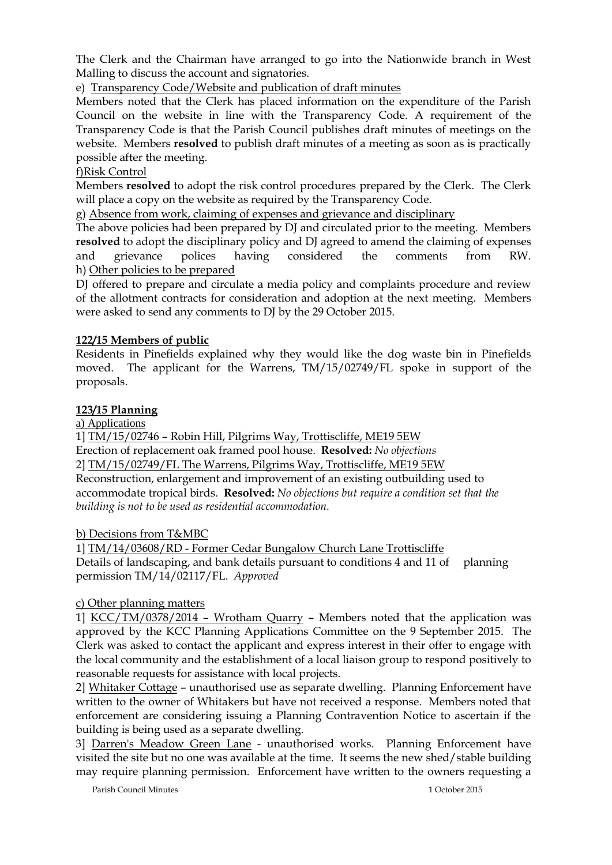The Clerk and the Chairman have arranged to go into the Nationwide branch in West Malling to discuss the account and signatories.

e) Transparency Code/Website and publication of draft minutes

Members noted that the Clerk has placed information on the expenditure of the Parish Council on the website in line with the Transparency Code. A requirement of the Transparency Code is that the Parish Council publishes draft minutes of meetings on the website. Members **resolved** to publish draft minutes of a meeting as soon as is practically possible after the meeting.

# f)Risk Control

Members **resolved** to adopt the risk control procedures prepared by the Clerk. The Clerk will place a copy on the website as required by the Transparency Code.

g) Absence from work, claiming of expenses and grievance and disciplinary

The above policies had been prepared by DJ and circulated prior to the meeting. Members **resolved** to adopt the disciplinary policy and DJ agreed to amend the claiming of expenses and grievance polices having considered the comments from RW. h) Other policies to be prepared

DJ offered to prepare and circulate a media policy and complaints procedure and review of the allotment contracts for consideration and adoption at the next meeting. Members were asked to send any comments to DJ by the 29 October 2015.

# **122/15 Members of public**

Residents in Pinefields explained why they would like the dog waste bin in Pinefields moved. The applicant for the Warrens, TM/15/02749/FL spoke in support of the proposals.

## **123/15 Planning**

a) Applications

1] TM/15/02746 – Robin Hill, Pilgrims Way, Trottiscliffe, ME19 5EW Erection of replacement oak framed pool house. **Resolved:** *No objections* 2] TM/15/02749/FL The Warrens, Pilgrims Way, Trottiscliffe, ME19 5EW Reconstruction, enlargement and improvement of an existing outbuilding used to accommodate tropical birds. **Resolved:** *No objections but require a condition set that the building is not to be used as residential accommodation.*

b) Decisions from T&MBC

1] TM/14/03608/RD - Former Cedar Bungalow Church Lane Trottiscliffe Details of landscaping, and bank details pursuant to conditions 4 and 11 of planning permission TM/14/02117/FL. *Approved*

## c) Other planning matters

1] KCC/TM/0378/2014 – Wrotham Quarry – Members noted that the application was approved by the KCC Planning Applications Committee on the 9 September 2015. The Clerk was asked to contact the applicant and express interest in their offer to engage with the local community and the establishment of a local liaison group to respond positively to reasonable requests for assistance with local projects.

2] Whitaker Cottage – unauthorised use as separate dwelling. Planning Enforcement have written to the owner of Whitakers but have not received a response. Members noted that enforcement are considering issuing a Planning Contravention Notice to ascertain if the building is being used as a separate dwelling.

3] Darren's Meadow Green Lane - unauthorised works. Planning Enforcement have visited the site but no one was available at the time. It seems the new shed/stable building may require planning permission. Enforcement have written to the owners requesting a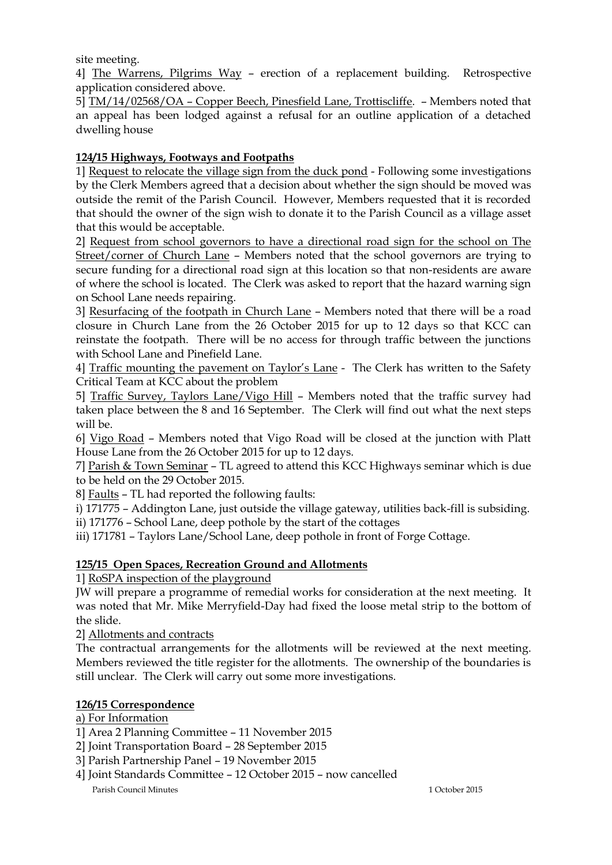site meeting.

4] The Warrens, Pilgrims Way – erection of a replacement building. Retrospective application considered above.

5] TM/14/02568/OA – Copper Beech, Pinesfield Lane, Trottiscliffe. – Members noted that an appeal has been lodged against a refusal for an outline application of a detached dwelling house

# **124/15 Highways, Footways and Footpaths**

1] Request to relocate the village sign from the duck pond - Following some investigations by the Clerk Members agreed that a decision about whether the sign should be moved was outside the remit of the Parish Council. However, Members requested that it is recorded that should the owner of the sign wish to donate it to the Parish Council as a village asset that this would be acceptable.

2] Request from school governors to have a directional road sign for the school on The Street/corner of Church Lane – Members noted that the school governors are trying to secure funding for a directional road sign at this location so that non-residents are aware of where the school is located. The Clerk was asked to report that the hazard warning sign on School Lane needs repairing.

3] Resurfacing of the footpath in Church Lane – Members noted that there will be a road closure in Church Lane from the 26 October 2015 for up to 12 days so that KCC can reinstate the footpath. There will be no access for through traffic between the junctions with School Lane and Pinefield Lane.

4] Traffic mounting the pavement on Taylor's Lane - The Clerk has written to the Safety Critical Team at KCC about the problem

5] Traffic Survey, Taylors Lane/Vigo Hill – Members noted that the traffic survey had taken place between the 8 and 16 September. The Clerk will find out what the next steps will be.

6] Vigo Road – Members noted that Vigo Road will be closed at the junction with Platt House Lane from the 26 October 2015 for up to 12 days.

7] Parish & Town Seminar – TL agreed to attend this KCC Highways seminar which is due to be held on the 29 October 2015.

8] Faults – TL had reported the following faults:

i) 171775 – Addington Lane, just outside the village gateway, utilities back-fill is subsiding.

ii) 171776 – School Lane, deep pothole by the start of the cottages

iii) 171781 – Taylors Lane/School Lane, deep pothole in front of Forge Cottage.

# **125/15 Open Spaces, Recreation Ground and Allotments**

1] RoSPA inspection of the playground

JW will prepare a programme of remedial works for consideration at the next meeting. It was noted that Mr. Mike Merryfield-Day had fixed the loose metal strip to the bottom of the slide.

2] Allotments and contracts

The contractual arrangements for the allotments will be reviewed at the next meeting. Members reviewed the title register for the allotments. The ownership of the boundaries is still unclear. The Clerk will carry out some more investigations.

## **126/15 Correspondence**

# a) For Information

1] Area 2 Planning Committee – 11 November 2015

- 2] Joint Transportation Board 28 September 2015
- 3] Parish Partnership Panel 19 November 2015
- Parish Council Minutes 1 October 2015 4] Joint Standards Committee – 12 October 2015 – now cancelled